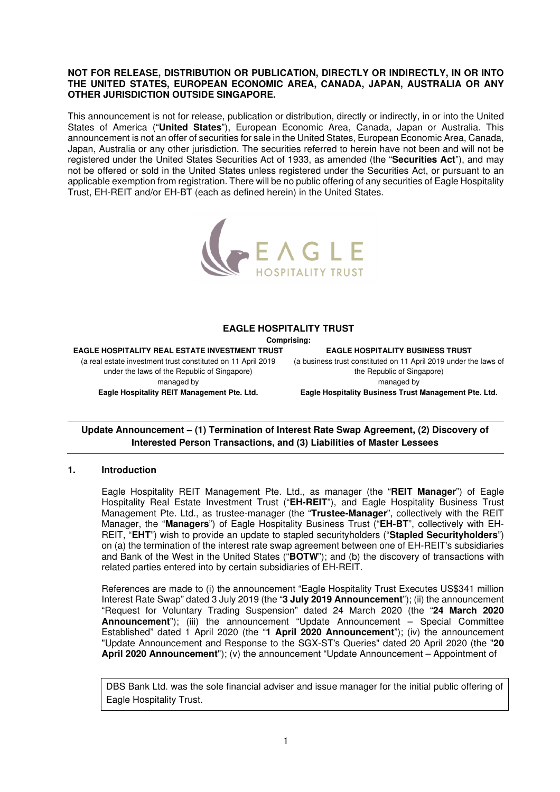#### **NOT FOR RELEASE, DISTRIBUTION OR PUBLICATION, DIRECTLY OR INDIRECTLY, IN OR INTO THE UNITED STATES, EUROPEAN ECONOMIC AREA, CANADA, JAPAN, AUSTRALIA OR ANY OTHER JURISDICTION OUTSIDE SINGAPORE.**

This announcement is not for release, publication or distribution, directly or indirectly, in or into the United States of America ("**United States**"), European Economic Area, Canada, Japan or Australia. This announcement is not an offer of securities for sale in the United States, European Economic Area, Canada, Japan, Australia or any other jurisdiction. The securities referred to herein have not been and will not be registered under the United States Securities Act of 1933, as amended (the "**Securities Act**"), and may not be offered or sold in the United States unless registered under the Securities Act, or pursuant to an applicable exemption from registration. There will be no public offering of any securities of Eagle Hospitality Trust, EH-REIT and/or EH-BT (each as defined herein) in the United States.



#### **EAGLE HOSPITALITY TRUST**

**Comprising:** 

**EAGLE HOSPITALITY REAL ESTATE INVESTMENT TRUST**  (a real estate investment trust constituted on 11 April 2019 under the laws of the Republic of Singapore) managed by **Eagle Hospitality REIT Management Pte. Ltd.** 

**EAGLE HOSPITALITY BUSINESS TRUST**  (a business trust constituted on 11 April 2019 under the laws of the Republic of Singapore) managed by **Eagle Hospitality Business Trust Management Pte. Ltd.** 

# **Update Announcement – (1) Termination of Interest Rate Swap Agreement, (2) Discovery of Interested Person Transactions, and (3) Liabilities of Master Lessees**

#### **1. Introduction**

Eagle Hospitality REIT Management Pte. Ltd., as manager (the "**REIT Manager**") of Eagle Hospitality Real Estate Investment Trust ("**EH-REIT**"), and Eagle Hospitality Business Trust Management Pte. Ltd., as trustee-manager (the "**Trustee-Manager**", collectively with the REIT Manager, the "**Managers**") of Eagle Hospitality Business Trust ("**EH-BT**", collectively with EH-REIT, "**EHT**") wish to provide an update to stapled securityholders ("**Stapled Securityholders**") on (a) the termination of the interest rate swap agreement between one of EH-REIT's subsidiaries and Bank of the West in the United States ("**BOTW**"); and (b) the discovery of transactions with related parties entered into by certain subsidiaries of EH-REIT.

References are made to (i) the announcement "Eagle Hospitality Trust Executes US\$341 million Interest Rate Swap" dated 3 July 2019 (the "**3 July 2019 Announcement**"); (ii) the announcement "Request for Voluntary Trading Suspension" dated 24 March 2020 (the "**24 March 2020 Announcement**"); (iii) the announcement "Update Announcement – Special Committee Established" dated 1 April 2020 (the "**1 April 2020 Announcement**"); (iv) the announcement "Update Announcement and Response to the SGX-ST's Queries" dated 20 April 2020 (the "**20 April 2020 Announcement**"); (v) the announcement "Update Announcement – Appointment of

DBS Bank Ltd. was the sole financial adviser and issue manager for the initial public offering of Eagle Hospitality Trust.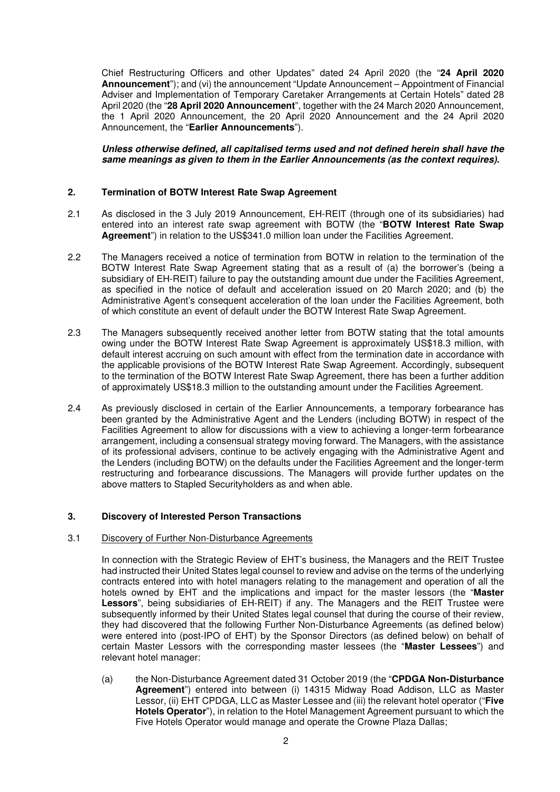Chief Restructuring Officers and other Updates" dated 24 April 2020 (the "**24 April 2020 Announcement**"); and (vi) the announcement "Update Announcement – Appointment of Financial Adviser and Implementation of Temporary Caretaker Arrangements at Certain Hotels" dated 28 April 2020 (the "**28 April 2020 Announcement**", together with the 24 March 2020 Announcement, the 1 April 2020 Announcement, the 20 April 2020 Announcement and the 24 April 2020 Announcement, the "**Earlier Announcements**").

### **Unless otherwise defined, all capitalised terms used and not defined herein shall have the same meanings as given to them in the Earlier Announcements (as the context requires).**

### **2. Termination of BOTW Interest Rate Swap Agreement**

- 2.1 As disclosed in the 3 July 2019 Announcement, EH-REIT (through one of its subsidiaries) had entered into an interest rate swap agreement with BOTW (the "**BOTW Interest Rate Swap Agreement**") in relation to the US\$341.0 million loan under the Facilities Agreement.
- 2.2 The Managers received a notice of termination from BOTW in relation to the termination of the BOTW Interest Rate Swap Agreement stating that as a result of (a) the borrower's (being a subsidiary of EH-REIT) failure to pay the outstanding amount due under the Facilities Agreement, as specified in the notice of default and acceleration issued on 20 March 2020; and (b) the Administrative Agent's consequent acceleration of the loan under the Facilities Agreement, both of which constitute an event of default under the BOTW Interest Rate Swap Agreement.
- 2.3 The Managers subsequently received another letter from BOTW stating that the total amounts owing under the BOTW Interest Rate Swap Agreement is approximately US\$18.3 million, with default interest accruing on such amount with effect from the termination date in accordance with the applicable provisions of the BOTW Interest Rate Swap Agreement. Accordingly, subsequent to the termination of the BOTW Interest Rate Swap Agreement, there has been a further addition of approximately US\$18.3 million to the outstanding amount under the Facilities Agreement.
- 2.4 As previously disclosed in certain of the Earlier Announcements, a temporary forbearance has been granted by the Administrative Agent and the Lenders (including BOTW) in respect of the Facilities Agreement to allow for discussions with a view to achieving a longer-term forbearance arrangement, including a consensual strategy moving forward. The Managers, with the assistance of its professional advisers, continue to be actively engaging with the Administrative Agent and the Lenders (including BOTW) on the defaults under the Facilities Agreement and the longer-term restructuring and forbearance discussions. The Managers will provide further updates on the above matters to Stapled Securityholders as and when able.

#### **3. Discovery of Interested Person Transactions**

#### 3.1 Discovery of Further Non-Disturbance Agreements

In connection with the Strategic Review of EHT's business, the Managers and the REIT Trustee had instructed their United States legal counsel to review and advise on the terms of the underlying contracts entered into with hotel managers relating to the management and operation of all the hotels owned by EHT and the implications and impact for the master lessors (the "**Master Lessors**", being subsidiaries of EH-REIT) if any. The Managers and the REIT Trustee were subsequently informed by their United States legal counsel that during the course of their review, they had discovered that the following Further Non-Disturbance Agreements (as defined below) were entered into (post-IPO of EHT) by the Sponsor Directors (as defined below) on behalf of certain Master Lessors with the corresponding master lessees (the "**Master Lessees**") and relevant hotel manager:

(a) the Non-Disturbance Agreement dated 31 October 2019 (the "**CPDGA Non-Disturbance Agreement**") entered into between (i) 14315 Midway Road Addison, LLC as Master Lessor, (ii) EHT CPDGA, LLC as Master Lessee and (iii) the relevant hotel operator ("**Five Hotels Operator**"), in relation to the Hotel Management Agreement pursuant to which the Five Hotels Operator would manage and operate the Crowne Plaza Dallas;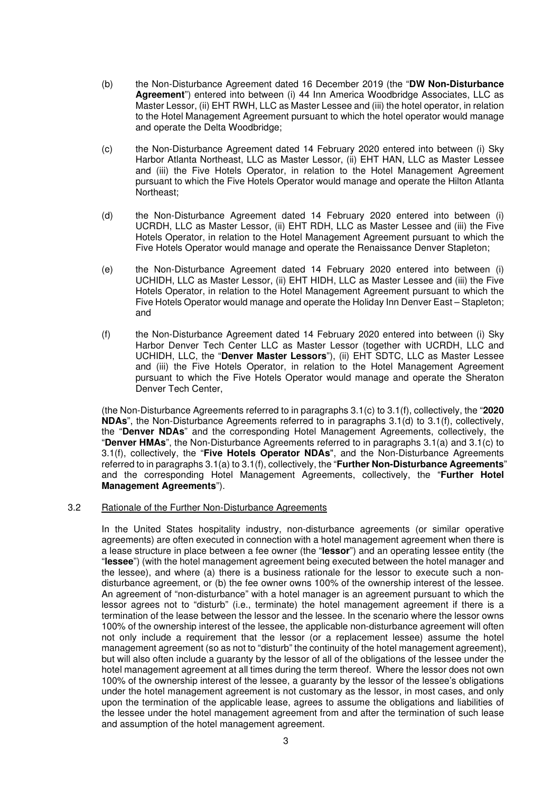- (b) the Non-Disturbance Agreement dated 16 December 2019 (the "**DW Non-Disturbance Agreement**") entered into between (i) 44 Inn America Woodbridge Associates, LLC as Master Lessor, (ii) EHT RWH, LLC as Master Lessee and (iii) the hotel operator, in relation to the Hotel Management Agreement pursuant to which the hotel operator would manage and operate the Delta Woodbridge;
- (c) the Non-Disturbance Agreement dated 14 February 2020 entered into between (i) Sky Harbor Atlanta Northeast, LLC as Master Lessor, (ii) EHT HAN, LLC as Master Lessee and (iii) the Five Hotels Operator, in relation to the Hotel Management Agreement pursuant to which the Five Hotels Operator would manage and operate the Hilton Atlanta Northeast;
- (d) the Non-Disturbance Agreement dated 14 February 2020 entered into between (i) UCRDH, LLC as Master Lessor, (ii) EHT RDH, LLC as Master Lessee and (iii) the Five Hotels Operator, in relation to the Hotel Management Agreement pursuant to which the Five Hotels Operator would manage and operate the Renaissance Denver Stapleton;
- (e) the Non-Disturbance Agreement dated 14 February 2020 entered into between (i) UCHIDH, LLC as Master Lessor, (ii) EHT HIDH, LLC as Master Lessee and (iii) the Five Hotels Operator, in relation to the Hotel Management Agreement pursuant to which the Five Hotels Operator would manage and operate the Holiday Inn Denver East – Stapleton; and
- (f) the Non-Disturbance Agreement dated 14 February 2020 entered into between (i) Sky Harbor Denver Tech Center LLC as Master Lessor (together with UCRDH, LLC and UCHIDH, LLC, the "**Denver Master Lessors**"), (ii) EHT SDTC, LLC as Master Lessee and (iii) the Five Hotels Operator, in relation to the Hotel Management Agreement pursuant to which the Five Hotels Operator would manage and operate the Sheraton Denver Tech Center,

(the Non-Disturbance Agreements referred to in paragraphs 3.1(c) to 3.1(f), collectively, the "**2020 NDAs**", the Non-Disturbance Agreements referred to in paragraphs 3.1(d) to 3.1(f), collectively, the "**Denver NDAs**" and the corresponding Hotel Management Agreements, collectively, the "**Denver HMAs**", the Non-Disturbance Agreements referred to in paragraphs 3.1(a) and 3.1(c) to 3.1(f), collectively, the "**Five Hotels Operator NDAs**", and the Non-Disturbance Agreements referred to in paragraphs 3.1(a) to 3.1(f), collectively, the "**Further Non-Disturbance Agreements**" and the corresponding Hotel Management Agreements, collectively, the "**Further Hotel Management Agreements**").

#### 3.2 Rationale of the Further Non-Disturbance Agreements

In the United States hospitality industry, non-disturbance agreements (or similar operative agreements) are often executed in connection with a hotel management agreement when there is a lease structure in place between a fee owner (the "**lessor**") and an operating lessee entity (the "**lessee**") (with the hotel management agreement being executed between the hotel manager and the lessee), and where (a) there is a business rationale for the lessor to execute such a nondisturbance agreement, or (b) the fee owner owns 100% of the ownership interest of the lessee. An agreement of "non-disturbance" with a hotel manager is an agreement pursuant to which the lessor agrees not to "disturb" (i.e., terminate) the hotel management agreement if there is a termination of the lease between the lessor and the lessee. In the scenario where the lessor owns 100% of the ownership interest of the lessee, the applicable non-disturbance agreement will often not only include a requirement that the lessor (or a replacement lessee) assume the hotel management agreement (so as not to "disturb" the continuity of the hotel management agreement), but will also often include a guaranty by the lessor of all of the obligations of the lessee under the hotel management agreement at all times during the term thereof. Where the lessor does not own 100% of the ownership interest of the lessee, a guaranty by the lessor of the lessee's obligations under the hotel management agreement is not customary as the lessor, in most cases, and only upon the termination of the applicable lease, agrees to assume the obligations and liabilities of the lessee under the hotel management agreement from and after the termination of such lease and assumption of the hotel management agreement.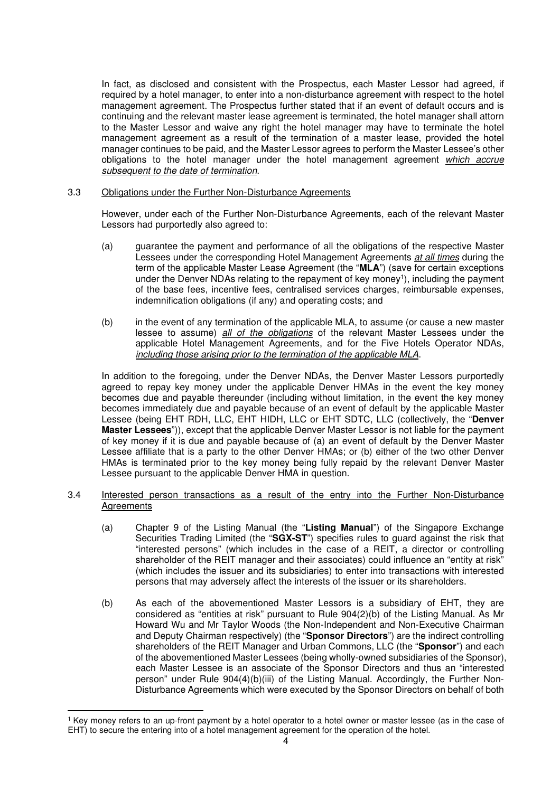In fact, as disclosed and consistent with the Prospectus, each Master Lessor had agreed, if required by a hotel manager, to enter into a non-disturbance agreement with respect to the hotel management agreement. The Prospectus further stated that if an event of default occurs and is continuing and the relevant master lease agreement is terminated, the hotel manager shall attorn to the Master Lessor and waive any right the hotel manager may have to terminate the hotel management agreement as a result of the termination of a master lease, provided the hotel manager continues to be paid, and the Master Lessor agrees to perform the Master Lessee's other obligations to the hotel manager under the hotel management agreement which accrue subsequent to the date of termination.

### 3.3 Obligations under the Further Non-Disturbance Agreements

However, under each of the Further Non-Disturbance Agreements, each of the relevant Master Lessors had purportedly also agreed to:

- (a) guarantee the payment and performance of all the obligations of the respective Master Lessees under the corresponding Hotel Management Agreements at all times during the term of the applicable Master Lease Agreement (the "**MLA**") (save for certain exceptions under the Denver NDAs relating to the repayment of key money<sup>1</sup>), including the payment of the base fees, incentive fees, centralised services charges, reimbursable expenses, indemnification obligations (if any) and operating costs; and
- (b) in the event of any termination of the applicable MLA, to assume (or cause a new master lessee to assume) all of the obligations of the relevant Master Lessees under the applicable Hotel Management Agreements, and for the Five Hotels Operator NDAs, including those arising prior to the termination of the applicable MLA.

In addition to the foregoing, under the Denver NDAs, the Denver Master Lessors purportedly agreed to repay key money under the applicable Denver HMAs in the event the key money becomes due and payable thereunder (including without limitation, in the event the key money becomes immediately due and payable because of an event of default by the applicable Master Lessee (being EHT RDH, LLC, EHT HIDH, LLC or EHT SDTC, LLC (collectively, the "**Denver Master Lessees**")), except that the applicable Denver Master Lessor is not liable for the payment of key money if it is due and payable because of (a) an event of default by the Denver Master Lessee affiliate that is a party to the other Denver HMAs; or (b) either of the two other Denver HMAs is terminated prior to the key money being fully repaid by the relevant Denver Master Lessee pursuant to the applicable Denver HMA in question.

- 3.4 Interested person transactions as a result of the entry into the Further Non-Disturbance **Agreements** 
	- (a) Chapter 9 of the Listing Manual (the "**Listing Manual**") of the Singapore Exchange Securities Trading Limited (the "**SGX-ST**") specifies rules to guard against the risk that "interested persons" (which includes in the case of a REIT, a director or controlling shareholder of the REIT manager and their associates) could influence an "entity at risk" (which includes the issuer and its subsidiaries) to enter into transactions with interested persons that may adversely affect the interests of the issuer or its shareholders.
	- (b) As each of the abovementioned Master Lessors is a subsidiary of EHT, they are considered as "entities at risk" pursuant to Rule 904(2)(b) of the Listing Manual. As Mr Howard Wu and Mr Taylor Woods (the Non-Independent and Non-Executive Chairman and Deputy Chairman respectively) (the "**Sponsor Directors**") are the indirect controlling shareholders of the REIT Manager and Urban Commons, LLC (the "**Sponsor**") and each of the abovementioned Master Lessees (being wholly-owned subsidiaries of the Sponsor), each Master Lessee is an associate of the Sponsor Directors and thus an "interested person" under Rule 904(4)(b)(iii) of the Listing Manual. Accordingly, the Further Non-Disturbance Agreements which were executed by the Sponsor Directors on behalf of both

<sup>1</sup> Key money refers to an up-front payment by a hotel operator to a hotel owner or master lessee (as in the case of EHT) to secure the entering into of a hotel management agreement for the operation of the hotel.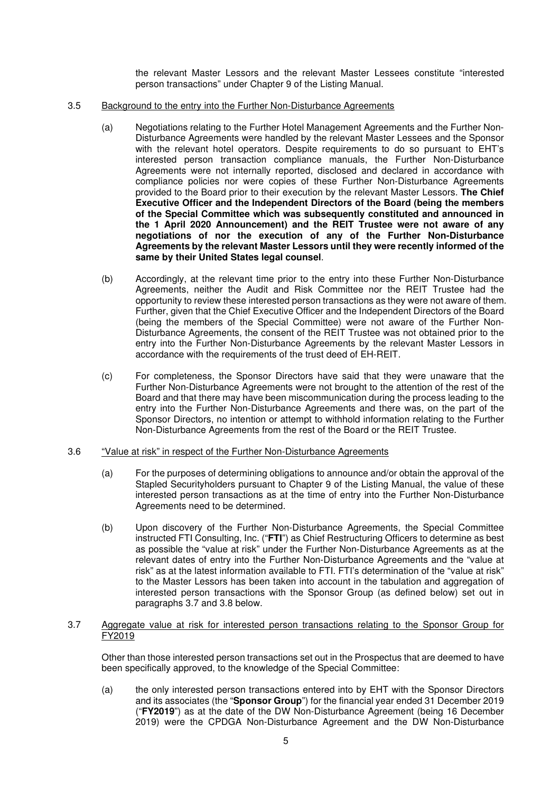the relevant Master Lessors and the relevant Master Lessees constitute "interested person transactions" under Chapter 9 of the Listing Manual.

- 3.5 Background to the entry into the Further Non-Disturbance Agreements
	- (a) Negotiations relating to the Further Hotel Management Agreements and the Further Non-Disturbance Agreements were handled by the relevant Master Lessees and the Sponsor with the relevant hotel operators. Despite requirements to do so pursuant to EHT's interested person transaction compliance manuals, the Further Non-Disturbance Agreements were not internally reported, disclosed and declared in accordance with compliance policies nor were copies of these Further Non-Disturbance Agreements provided to the Board prior to their execution by the relevant Master Lessors. **The Chief Executive Officer and the Independent Directors of the Board (being the members of the Special Committee which was subsequently constituted and announced in the 1 April 2020 Announcement) and the REIT Trustee were not aware of any negotiations of nor the execution of any of the Further Non-Disturbance Agreements by the relevant Master Lessors until they were recently informed of the same by their United States legal counsel**.
	- (b) Accordingly, at the relevant time prior to the entry into these Further Non-Disturbance Agreements, neither the Audit and Risk Committee nor the REIT Trustee had the opportunity to review these interested person transactions as they were not aware of them. Further, given that the Chief Executive Officer and the Independent Directors of the Board (being the members of the Special Committee) were not aware of the Further Non-Disturbance Agreements, the consent of the REIT Trustee was not obtained prior to the entry into the Further Non-Disturbance Agreements by the relevant Master Lessors in accordance with the requirements of the trust deed of EH-REIT.
	- (c) For completeness, the Sponsor Directors have said that they were unaware that the Further Non-Disturbance Agreements were not brought to the attention of the rest of the Board and that there may have been miscommunication during the process leading to the entry into the Further Non-Disturbance Agreements and there was, on the part of the Sponsor Directors, no intention or attempt to withhold information relating to the Further Non-Disturbance Agreements from the rest of the Board or the REIT Trustee.
- 3.6 "Value at risk" in respect of the Further Non-Disturbance Agreements
	- (a) For the purposes of determining obligations to announce and/or obtain the approval of the Stapled Securityholders pursuant to Chapter 9 of the Listing Manual, the value of these interested person transactions as at the time of entry into the Further Non-Disturbance Agreements need to be determined.
	- (b) Upon discovery of the Further Non-Disturbance Agreements, the Special Committee instructed FTI Consulting, Inc. ("**FTI**") as Chief Restructuring Officers to determine as best as possible the "value at risk" under the Further Non-Disturbance Agreements as at the relevant dates of entry into the Further Non-Disturbance Agreements and the "value at risk" as at the latest information available to FTI. FTI's determination of the "value at risk" to the Master Lessors has been taken into account in the tabulation and aggregation of interested person transactions with the Sponsor Group (as defined below) set out in paragraphs 3.7 and 3.8 below.

#### 3.7 Aggregate value at risk for interested person transactions relating to the Sponsor Group for FY2019

Other than those interested person transactions set out in the Prospectus that are deemed to have been specifically approved, to the knowledge of the Special Committee:

(a) the only interested person transactions entered into by EHT with the Sponsor Directors and its associates (the "**Sponsor Group**") for the financial year ended 31 December 2019 ("**FY2019**") as at the date of the DW Non-Disturbance Agreement (being 16 December 2019) were the CPDGA Non-Disturbance Agreement and the DW Non-Disturbance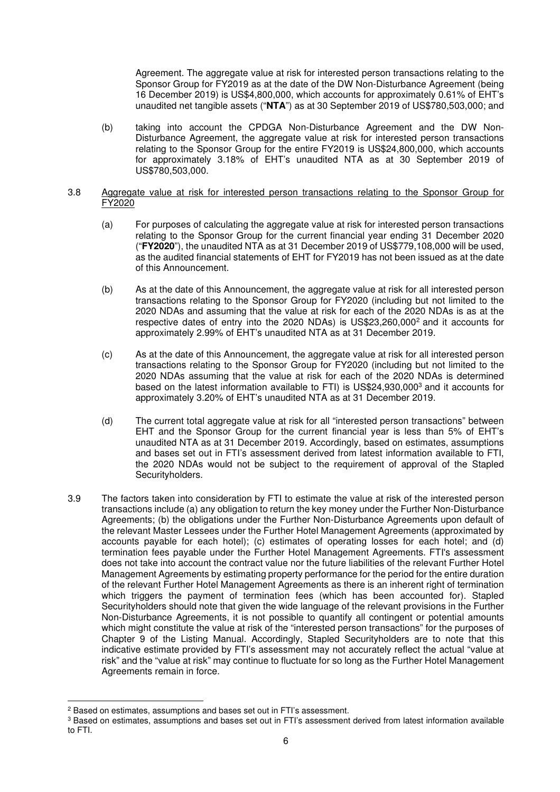Agreement. The aggregate value at risk for interested person transactions relating to the Sponsor Group for FY2019 as at the date of the DW Non-Disturbance Agreement (being 16 December 2019) is US\$4,800,000, which accounts for approximately 0.61% of EHT's unaudited net tangible assets ("**NTA**") as at 30 September 2019 of US\$780,503,000; and

(b) taking into account the CPDGA Non-Disturbance Agreement and the DW Non-Disturbance Agreement, the aggregate value at risk for interested person transactions relating to the Sponsor Group for the entire FY2019 is US\$24,800,000, which accounts for approximately 3.18% of EHT's unaudited NTA as at 30 September 2019 of US\$780,503,000.

### 3.8 Aggregate value at risk for interested person transactions relating to the Sponsor Group for FY2020

- (a) For purposes of calculating the aggregate value at risk for interested person transactions relating to the Sponsor Group for the current financial year ending 31 December 2020 ("**FY2020**"), the unaudited NTA as at 31 December 2019 of US\$779,108,000 will be used, as the audited financial statements of EHT for FY2019 has not been issued as at the date of this Announcement.
- (b) As at the date of this Announcement, the aggregate value at risk for all interested person transactions relating to the Sponsor Group for FY2020 (including but not limited to the 2020 NDAs and assuming that the value at risk for each of the 2020 NDAs is as at the respective dates of entry into the 2020 NDAs) is US\$23,260,000<sup>2</sup> and it accounts for approximately 2.99% of EHT's unaudited NTA as at 31 December 2019.
- (c) As at the date of this Announcement, the aggregate value at risk for all interested person transactions relating to the Sponsor Group for FY2020 (including but not limited to the 2020 NDAs assuming that the value at risk for each of the 2020 NDAs is determined based on the latest information available to FTI) is US\$24,930,000<sup>3</sup> and it accounts for approximately 3.20% of EHT's unaudited NTA as at 31 December 2019.
- (d) The current total aggregate value at risk for all "interested person transactions" between EHT and the Sponsor Group for the current financial year is less than 5% of EHT's unaudited NTA as at 31 December 2019. Accordingly, based on estimates, assumptions and bases set out in FTI's assessment derived from latest information available to FTI, the 2020 NDAs would not be subject to the requirement of approval of the Stapled Securityholders.
- 3.9 The factors taken into consideration by FTI to estimate the value at risk of the interested person transactions include (a) any obligation to return the key money under the Further Non-Disturbance Agreements; (b) the obligations under the Further Non-Disturbance Agreements upon default of the relevant Master Lessees under the Further Hotel Management Agreements (approximated by accounts payable for each hotel); (c) estimates of operating losses for each hotel; and (d) termination fees payable under the Further Hotel Management Agreements. FTI's assessment does not take into account the contract value nor the future liabilities of the relevant Further Hotel Management Agreements by estimating property performance for the period for the entire duration of the relevant Further Hotel Management Agreements as there is an inherent right of termination which triggers the payment of termination fees (which has been accounted for). Stapled Securityholders should note that given the wide language of the relevant provisions in the Further Non-Disturbance Agreements, it is not possible to quantify all contingent or potential amounts which might constitute the value at risk of the "interested person transactions" for the purposes of Chapter 9 of the Listing Manual. Accordingly, Stapled Securityholders are to note that this indicative estimate provided by FTI's assessment may not accurately reflect the actual "value at risk" and the "value at risk" may continue to fluctuate for so long as the Further Hotel Management Agreements remain in force.

<sup>&</sup>lt;sup>2</sup> Based on estimates, assumptions and bases set out in FTI's assessment.

 $3$  Based on estimates, assumptions and bases set out in FTI's assessment derived from latest information available

to FTI.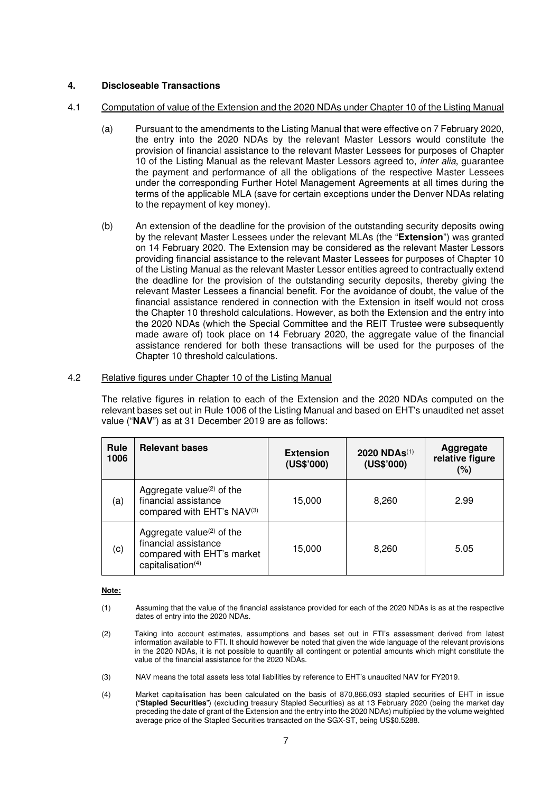## **4. Discloseable Transactions**

### 4.1 Computation of value of the Extension and the 2020 NDAs under Chapter 10 of the Listing Manual

- (a) Pursuant to the amendments to the Listing Manual that were effective on 7 February 2020, the entry into the 2020 NDAs by the relevant Master Lessors would constitute the provision of financial assistance to the relevant Master Lessees for purposes of Chapter 10 of the Listing Manual as the relevant Master Lessors agreed to, inter alia, guarantee the payment and performance of all the obligations of the respective Master Lessees under the corresponding Further Hotel Management Agreements at all times during the terms of the applicable MLA (save for certain exceptions under the Denver NDAs relating to the repayment of key money).
- (b) An extension of the deadline for the provision of the outstanding security deposits owing by the relevant Master Lessees under the relevant MLAs (the "**Extension**") was granted on 14 February 2020. The Extension may be considered as the relevant Master Lessors providing financial assistance to the relevant Master Lessees for purposes of Chapter 10 of the Listing Manual as the relevant Master Lessor entities agreed to contractually extend the deadline for the provision of the outstanding security deposits, thereby giving the relevant Master Lessees a financial benefit. For the avoidance of doubt, the value of the financial assistance rendered in connection with the Extension in itself would not cross the Chapter 10 threshold calculations. However, as both the Extension and the entry into the 2020 NDAs (which the Special Committee and the REIT Trustee were subsequently made aware of) took place on 14 February 2020, the aggregate value of the financial assistance rendered for both these transactions will be used for the purposes of the Chapter 10 threshold calculations.

#### 4.2 Relative figures under Chapter 10 of the Listing Manual

The relative figures in relation to each of the Extension and the 2020 NDAs computed on the relevant bases set out in Rule 1006 of the Listing Manual and based on EHT's unaudited net asset value ("**NAV**") as at 31 December 2019 are as follows:

| Rule<br>1006 | <b>Relevant bases</b>                                                                                               | <b>Extension</b><br>(US\$'000) | 2020 NDAs <sup>(1)</sup><br>(US\$'000) | Aggregate<br>relative figure<br>(%) |
|--------------|---------------------------------------------------------------------------------------------------------------------|--------------------------------|----------------------------------------|-------------------------------------|
| (a)          | Aggregate value <sup>(2)</sup> of the<br>financial assistance<br>compared with EHT's NAV(3)                         | 15,000                         | 8,260                                  | 2.99                                |
| (c)          | Aggregate value $(2)$ of the<br>financial assistance<br>compared with EHT's market<br>capitalisation <sup>(4)</sup> | 15,000                         | 8,260                                  | 5.05                                |

#### **Note:**

- (1) Assuming that the value of the financial assistance provided for each of the 2020 NDAs is as at the respective dates of entry into the 2020 NDAs.
- (2) Taking into account estimates, assumptions and bases set out in FTI's assessment derived from latest information available to FTI. It should however be noted that given the wide language of the relevant provisions in the 2020 NDAs, it is not possible to quantify all contingent or potential amounts which might constitute the value of the financial assistance for the 2020 NDAs.
- (3) NAV means the total assets less total liabilities by reference to EHT's unaudited NAV for FY2019.
- (4) Market capitalisation has been calculated on the basis of 870,866,093 stapled securities of EHT in issue ("**Stapled Securities**") (excluding treasury Stapled Securities) as at 13 February 2020 (being the market day preceding the date of grant of the Extension and the entry into the 2020 NDAs) multiplied by the volume weighted average price of the Stapled Securities transacted on the SGX-ST, being US\$0.5288.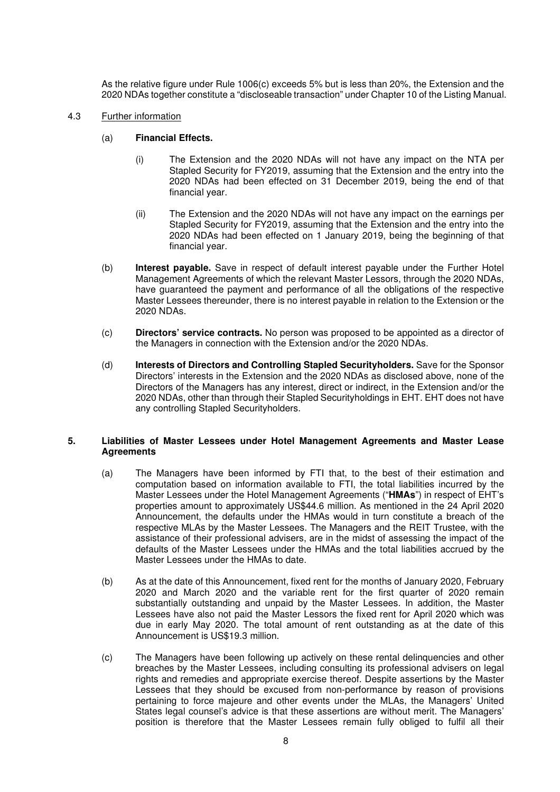As the relative figure under Rule 1006(c) exceeds 5% but is less than 20%, the Extension and the 2020 NDAs together constitute a "discloseable transaction" under Chapter 10 of the Listing Manual.

- 4.3 Further information
	- (a) **Financial Effects.** 
		- (i) The Extension and the 2020 NDAs will not have any impact on the NTA per Stapled Security for FY2019, assuming that the Extension and the entry into the 2020 NDAs had been effected on 31 December 2019, being the end of that financial year.
		- (ii) The Extension and the 2020 NDAs will not have any impact on the earnings per Stapled Security for FY2019, assuming that the Extension and the entry into the 2020 NDAs had been effected on 1 January 2019, being the beginning of that financial year.
	- (b) **Interest payable.** Save in respect of default interest payable under the Further Hotel Management Agreements of which the relevant Master Lessors, through the 2020 NDAs, have guaranteed the payment and performance of all the obligations of the respective Master Lessees thereunder, there is no interest payable in relation to the Extension or the 2020 NDAs.
	- (c) **Directors' service contracts.** No person was proposed to be appointed as a director of the Managers in connection with the Extension and/or the 2020 NDAs.
	- (d) **Interests of Directors and Controlling Stapled Securityholders.** Save for the Sponsor Directors' interests in the Extension and the 2020 NDAs as disclosed above, none of the Directors of the Managers has any interest, direct or indirect, in the Extension and/or the 2020 NDAs, other than through their Stapled Securityholdings in EHT. EHT does not have any controlling Stapled Securityholders.

### **5. Liabilities of Master Lessees under Hotel Management Agreements and Master Lease Agreements**

- (a) The Managers have been informed by FTI that, to the best of their estimation and computation based on information available to FTI, the total liabilities incurred by the Master Lessees under the Hotel Management Agreements ("**HMAs**") in respect of EHT's properties amount to approximately US\$44.6 million. As mentioned in the 24 April 2020 Announcement, the defaults under the HMAs would in turn constitute a breach of the respective MLAs by the Master Lessees. The Managers and the REIT Trustee, with the assistance of their professional advisers, are in the midst of assessing the impact of the defaults of the Master Lessees under the HMAs and the total liabilities accrued by the Master Lessees under the HMAs to date.
- (b) As at the date of this Announcement, fixed rent for the months of January 2020, February 2020 and March 2020 and the variable rent for the first quarter of 2020 remain substantially outstanding and unpaid by the Master Lessees. In addition, the Master Lessees have also not paid the Master Lessors the fixed rent for April 2020 which was due in early May 2020. The total amount of rent outstanding as at the date of this Announcement is US\$19.3 million.
- (c) The Managers have been following up actively on these rental delinquencies and other breaches by the Master Lessees, including consulting its professional advisers on legal rights and remedies and appropriate exercise thereof. Despite assertions by the Master Lessees that they should be excused from non-performance by reason of provisions pertaining to force majeure and other events under the MLAs, the Managers' United States legal counsel's advice is that these assertions are without merit. The Managers' position is therefore that the Master Lessees remain fully obliged to fulfil all their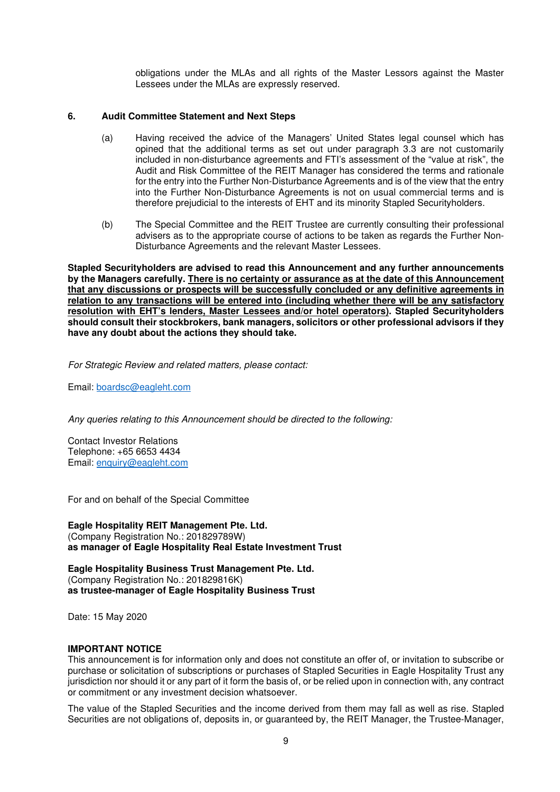obligations under the MLAs and all rights of the Master Lessors against the Master Lessees under the MLAs are expressly reserved.

### **6. Audit Committee Statement and Next Steps**

- (a) Having received the advice of the Managers' United States legal counsel which has opined that the additional terms as set out under paragraph 3.3 are not customarily included in non-disturbance agreements and FTI's assessment of the "value at risk", the Audit and Risk Committee of the REIT Manager has considered the terms and rationale for the entry into the Further Non-Disturbance Agreements and is of the view that the entry into the Further Non-Disturbance Agreements is not on usual commercial terms and is therefore prejudicial to the interests of EHT and its minority Stapled Securityholders.
- (b) The Special Committee and the REIT Trustee are currently consulting their professional advisers as to the appropriate course of actions to be taken as regards the Further Non-Disturbance Agreements and the relevant Master Lessees.

**Stapled Securityholders are advised to read this Announcement and any further announcements by the Managers carefully. There is no certainty or assurance as at the date of this Announcement that any discussions or prospects will be successfully concluded or any definitive agreements in relation to any transactions will be entered into (including whether there will be any satisfactory resolution with EHT's lenders, Master Lessees and/or hotel operators). Stapled Securityholders should consult their stockbrokers, bank managers, solicitors or other professional advisors if they have any doubt about the actions they should take.** 

For Strategic Review and related matters, please contact:

Email: boardsc@eagleht.com

Any queries relating to this Announcement should be directed to the following:

Contact Investor Relations Telephone: +65 6653 4434 Email: enquiry@eagleht.com

For and on behalf of the Special Committee

**Eagle Hospitality REIT Management Pte. Ltd.**  (Company Registration No.: 201829789W) **as manager of Eagle Hospitality Real Estate Investment Trust** 

**Eagle Hospitality Business Trust Management Pte. Ltd.**  (Company Registration No.: 201829816K) **as trustee-manager of Eagle Hospitality Business Trust** 

Date: 15 May 2020

#### **IMPORTANT NOTICE**

This announcement is for information only and does not constitute an offer of, or invitation to subscribe or purchase or solicitation of subscriptions or purchases of Stapled Securities in Eagle Hospitality Trust any jurisdiction nor should it or any part of it form the basis of, or be relied upon in connection with, any contract or commitment or any investment decision whatsoever.

The value of the Stapled Securities and the income derived from them may fall as well as rise. Stapled Securities are not obligations of, deposits in, or guaranteed by, the REIT Manager, the Trustee-Manager,